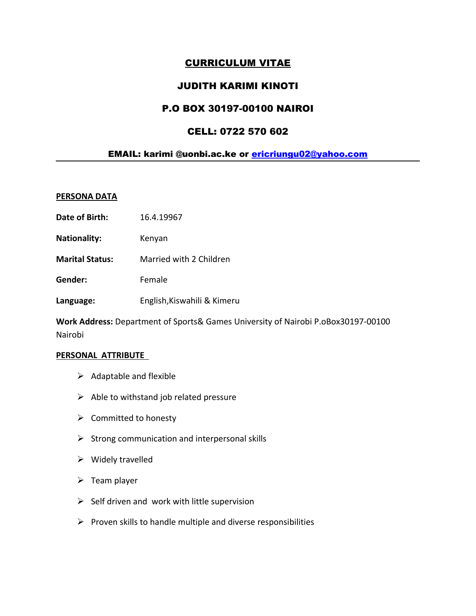# CURRICULUM VITAE

## JUDITH KARIMI KINOTI

# P.O BOX 30197-00100 NAIROI

# CELL: 0722 570 602

## EMAIL: karimi @uonbi.ac.ke or [ericriungu02@yahoo.com](mailto:ericriungu02@yahoo.com)

#### **PERSONA DATA**

- **Date of Birth:** 16.4.19967
- **Nationality:** Kenyan
- **Marital Status:** Married with 2 Children

**Gender:** Female

**Language:** English,Kiswahili & Kimeru

**Work Address:** Department of Sports& Games University of Nairobi P.oBox30197-00100 Nairobi

#### **PERSONAL ATTRIBUTE**

- $\triangleright$  Adaptable and flexible
- $\triangleright$  Able to withstand job related pressure
- $\triangleright$  Committed to honesty
- $\triangleright$  Strong communication and interpersonal skills
- $\triangleright$  Widely travelled
- $\triangleright$  Team player
- $\triangleright$  Self driven and work with little supervision
- $\triangleright$  Proven skills to handle multiple and diverse responsibilities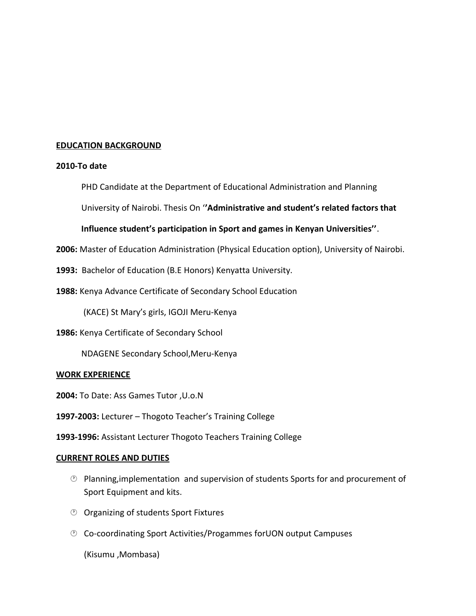## **EDUCATION BACKGROUND**

#### **2010-To date**

PHD Candidate at the Department of Educational Administration and Planning

University of Nairobi. Thesis On '**'Administrative and student's related factors that** 

## **Influence student's participation in Sport and games in Kenyan Universities''**.

**2006:** Master of Education Administration (Physical Education option), University of Nairobi.

**1993:** Bachelor of Education (B.E Honors) Kenyatta University.

**1988:** Kenya Advance Certificate of Secondary School Education

(KACE) St Mary's girls, IGOJI Meru-Kenya

**1986:** Kenya Certificate of Secondary School

NDAGENE Secondary School,Meru-Kenya

## **WORK EXPERIENCE**

- **2004:** To Date: Ass Games Tutor ,U.o.N
- **1997-2003:** Lecturer Thogoto Teacher's Training College

**1993-1996:** Assistant Lecturer Thogoto Teachers Training College

## **CURRENT ROLES AND DUTIES**

- $\odot$  Planning, implementation and supervision of students Sports for and procurement of Sport Equipment and kits.
- Organizing of students Sport Fixtures
- Co-coordinating Sport Activities/Progammes forUON output Campuses

(Kisumu ,Mombasa)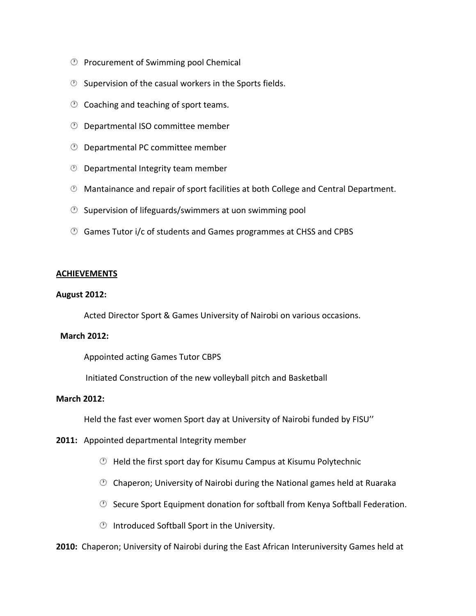- $\circled{P}$  Procurement of Swimming pool Chemical
- $\circled{2}$  Supervision of the casual workers in the Sports fields.
- $\circled{1}$  Coaching and teaching of sport teams.
- Departmental ISO committee member
- Departmental PC committee member
- *<sup>1</sup>* Departmental Integrity team member
- Mantainance and repair of sport facilities at both College and Central Department.
- $\circled{2}$  Supervision of lifeguards/swimmers at uon swimming pool
- Games Tutor i/c of students and Games programmes at CHSS and CPBS

#### **ACHIEVEMENTS**

#### **August 2012:**

Acted Director Sport & Games University of Nairobi on various occasions.

#### **March 2012:**

Appointed acting Games Tutor CBPS

Initiated Construction of the new volleyball pitch and Basketball

## **March 2012:**

Held the fast ever women Sport day at University of Nairobi funded by FISU''

- **2011:** Appointed departmental Integrity member
	- $\circled{1}$  Held the first sport day for Kisumu Campus at Kisumu Polytechnic
	- $\circled{2}$  Chaperon; University of Nairobi during the National games held at Ruaraka
	- $\circled{C}$  Secure Sport Equipment donation for softball from Kenya Softball Federation.
	- $\circled{1}$  Introduced Softball Sport in the University.

**2010:** Chaperon; University of Nairobi during the East African Interuniversity Games held at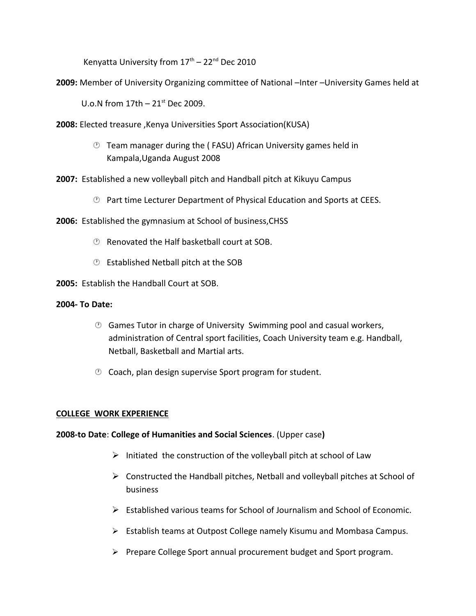Kenvatta University from  $17^{\text{th}} - 22^{\text{nd}}$  Dec 2010

**2009:** Member of University Organizing committee of National –Inter –University Games held at

U.o.N from  $17$ th –  $21$ <sup>st</sup> Dec 2009.

- **2008:** Elected treasure ,Kenya Universities Sport Association(KUSA)
	- Team manager during the ( FASU) African University games held in Kampala,Uganda August 2008
- **2007:** Established a new volleyball pitch and Handball pitch at Kikuyu Campus
	- *<b>E* Part time Lecturer Department of Physical Education and Sports at CEES.
- **2006:** Established the gymnasium at School of business,CHSS
	- Renovated the Half basketball court at SOB.
	- Established Netball pitch at the SOB

**2005:** Establish the Handball Court at SOB.

### **2004- To Date:**

- $\odot$  Games Tutor in charge of University Swimming pool and casual workers, administration of Central sport facilities, Coach University team e.g. Handball, Netball, Basketball and Martial arts.
- $\circled{2}$  Coach, plan design supervise Sport program for student.

## **COLLEGE WORK EXPERIENCE**

## **2008-to Date**: **College of Humanities and Social Sciences**. (Upper case**)**

- $\triangleright$  Initiated the construction of the volleyball pitch at school of Law
- $\triangleright$  Constructed the Handball pitches, Netball and volleyball pitches at School of business
- Established various teams for School of Journalism and School of Economic.
- $\triangleright$  Establish teams at Outpost College namely Kisumu and Mombasa Campus.
- $\triangleright$  Prepare College Sport annual procurement budget and Sport program.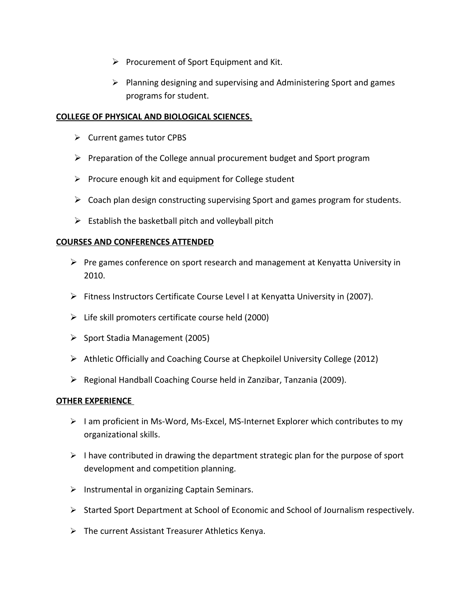- $\triangleright$  Procurement of Sport Equipment and Kit.
- $\triangleright$  Planning designing and supervising and Administering Sport and games programs for student.

### **COLLEGE OF PHYSICAL AND BIOLOGICAL SCIENCES.**

- $\triangleright$  Current games tutor CPBS
- $\triangleright$  Preparation of the College annual procurement budget and Sport program
- $\triangleright$  Procure enough kit and equipment for College student
- $\triangleright$  Coach plan design constructing supervising Sport and games program for students.
- $\triangleright$  Establish the basketball pitch and volleyball pitch

## **COURSES AND CONFERENCES ATTENDED**

- $\triangleright$  Pre games conference on sport research and management at Kenyatta University in 2010.
- $\triangleright$  Fitness Instructors Certificate Course Level I at Kenyatta University in (2007).
- $\triangleright$  Life skill promoters certificate course held (2000)
- $\triangleright$  Sport Stadia Management (2005)
- Athletic Officially and Coaching Course at Chepkoilel University College (2012)
- $\triangleright$  Regional Handball Coaching Course held in Zanzibar, Tanzania (2009).

## **OTHER EXPERIENCE**

- $\triangleright$  I am proficient in Ms-Word, Ms-Excel, MS-Internet Explorer which contributes to my organizational skills.
- $\triangleright$  I have contributed in drawing the department strategic plan for the purpose of sport development and competition planning.
- $\triangleright$  Instrumental in organizing Captain Seminars.
- $\triangleright$  Started Sport Department at School of Economic and School of Journalism respectively.
- $\triangleright$  The current Assistant Treasurer Athletics Kenya.